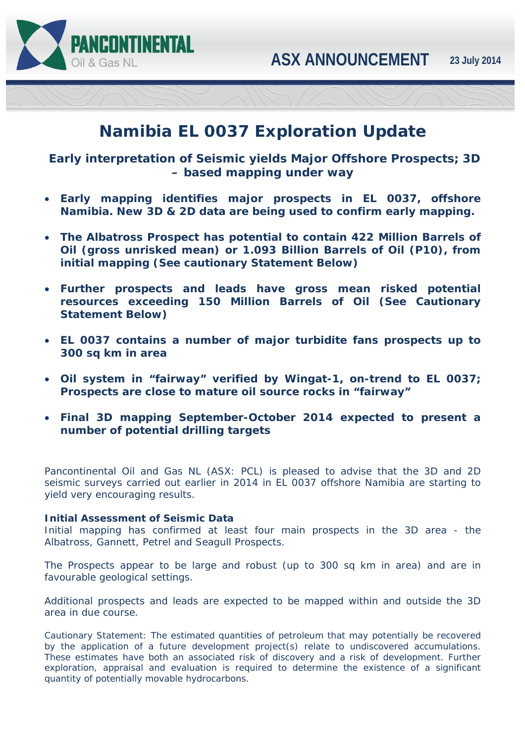



# **Namibia EL 0037 Exploration Update**

 *Early interpretation of Seismic yields Major Offshore Prospects; 3D – based mapping under way* 

- **Early mapping identifies major prospects in EL 0037, offshore Namibia. New 3D & 2D data are being used to confirm early mapping.**
- **The Albatross Prospect has potential to contain 422 Million Barrels of Oil (gross unrisked mean) or 1.093 Billion Barrels of Oil (P10), from initial mapping** *(See cautionary Statement Below)*
- **Further prospects and leads have gross mean risked potential resources exceeding 150 Million Barrels of Oil** *(See Cautionary Statement Below)*
- **EL 0037 contains a number of major turbidite fans prospects up to 300 sq km in area**
- **Oil system in "fairway" verified by Wingat-1, on-trend to EL 0037; Prospects are close to mature oil source rocks in "fairway"**
- **Final 3D mapping September-October 2014 expected to present a number of potential drilling targets**

Pancontinental Oil and Gas NL (ASX: PCL) is pleased to advise that the 3D and 2D seismic surveys carried out earlier in 2014 in EL 0037 offshore Namibia are starting to yield very encouraging results.

# **Initial Assessment of Seismic Data**

Initial mapping has confirmed at least four main prospects in the 3D area - the Albatross, Gannett, Petrel and Seagull Prospects.

The Prospects appear to be large and robust (up to 300 sq km in area) and are in favourable geological settings.

Additional prospects and leads are expected to be mapped within and outside the 3D area in due course.

*Cautionary Statement: The estimated quantities of petroleum that may potentially be recovered by the application of a future development project(s) relate to undiscovered accumulations. These estimates have both an associated risk of discovery and a risk of development. Further exploration, appraisal and evaluation is required to determine the existence of a significant quantity of potentially movable hydrocarbons.*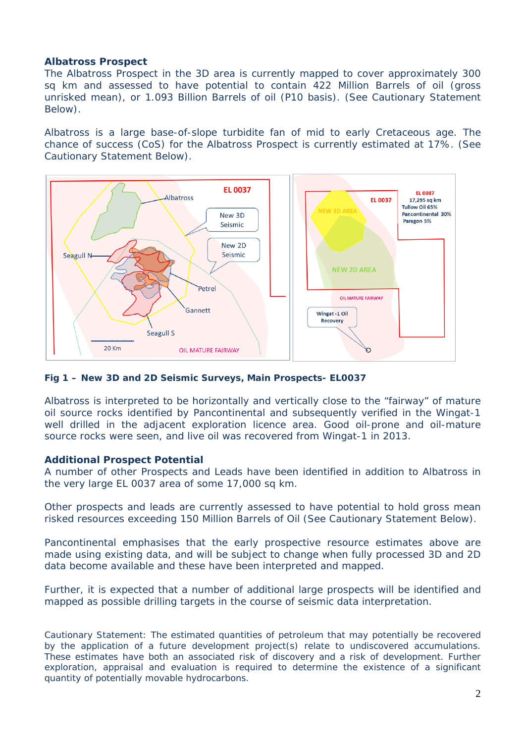## **Albatross Prospect**

The Albatross Prospect in the 3D area is currently mapped to cover approximately 300 sq km and assessed to have potential to contain 422 Million Barrels of oil (gross unrisked mean), or 1.093 Billion Barrels of oil (P10 basis). *(See Cautionary Statement Below).*

Albatross is a large base-of-slope turbidite fan of mid to early Cretaceous age. The chance of success (CoS) for the Albatross Prospect is currently estimated at 17%. *(See Cautionary Statement Below).*



*Fig 1 – New 3D and 2D Seismic Surveys, Main Prospects- EL0037* 

Albatross is interpreted to be horizontally and vertically close to the "fairway" of mature oil source rocks identified by Pancontinental and subsequently verified in the Wingat-1 well drilled in the adjacent exploration licence area. Good oil-prone and oil-mature source rocks were seen, and live oil was recovered from Wingat-1 in 2013.

## **Additional Prospect Potential**

A number of other Prospects and Leads have been identified in addition to Albatross in the very large EL 0037 area of some 17,000 sq km.

Other prospects and leads are currently assessed to have potential to hold gross mean risked resources exceeding 150 Million Barrels of Oil *(See Cautionary Statement Below)*.

Pancontinental emphasises that the early prospective resource estimates above are made using existing data, and will be subject to change when fully processed 3D and 2D data become available and these have been interpreted and mapped.

Further, it is expected that a number of additional large prospects will be identified and mapped as possible drilling targets in the course of seismic data interpretation.

*Cautionary Statement: The estimated quantities of petroleum that may potentially be recovered by the application of a future development project(s) relate to undiscovered accumulations. These estimates have both an associated risk of discovery and a risk of development. Further exploration, appraisal and evaluation is required to determine the existence of a significant quantity of potentially movable hydrocarbons.*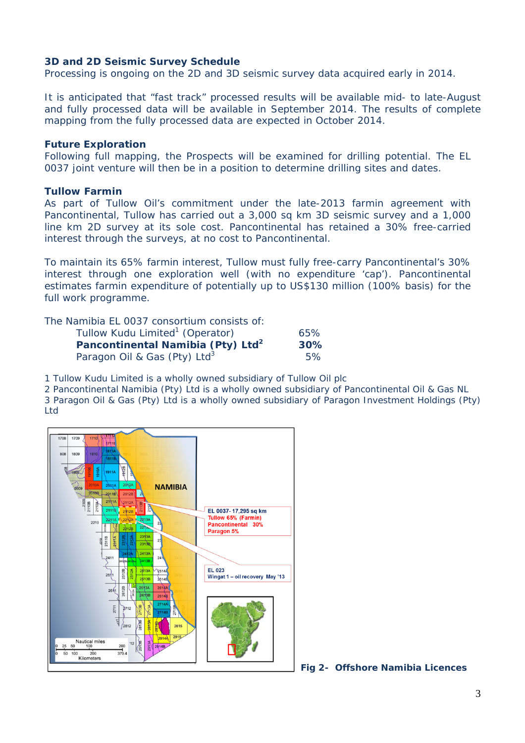## **3D and 2D Seismic Survey Schedule**

Processing is ongoing on the 2D and 3D seismic survey data acquired early in 2014.

It is anticipated that "fast track" processed results will be available mid- to late-August and fully processed data will be available in September 2014. The results of complete mapping from the fully processed data are expected in October 2014.

### **Future Exploration**

Following full mapping, the Prospects will be examined for drilling potential. The EL 0037 joint venture will then be in a position to determine drilling sites and dates.

### **Tullow Farmin**

As part of Tullow Oil's commitment under the late-2013 farmin agreement with Pancontinental, Tullow has carried out a 3,000 sq km 3D seismic survey and a 1,000 line km 2D survey at its sole cost. Pancontinental has retained a 30% free-carried interest through the surveys, at no cost to Pancontinental.

To maintain its 65% farmin interest, Tullow must fully free-carry Pancontinental's 30% interest through one exploration well (with no expenditure 'cap'). Pancontinental estimates farmin expenditure of potentially up to US\$130 million (100% basis) for the full work programme.

The Namibia EL 0037 consortium consists of:

| Tullow Kudu Limited <sup>1</sup> (Operator)   | 65% |
|-----------------------------------------------|-----|
| Pancontinental Namibia (Pty) Ltd <sup>2</sup> | 30% |
| Paragon Oil & Gas (Pty) Ltd <sup>3</sup>      | 5%  |

1 Tullow Kudu Limited is a wholly owned subsidiary of Tullow Oil plc

2 Pancontinental Namibia (Pty) Ltd is a wholly owned subsidiary of Pancontinental Oil & Gas NL 3 Paragon Oil & Gas (Pty) Ltd is a wholly owned subsidiary of Paragon Investment Holdings (Pty) Ltd



*Fig 2- Offshore Namibia Licences*